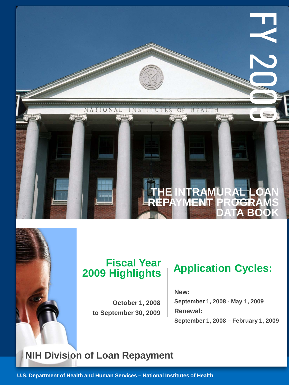

# **2009 Highlights**

**October 1, 2008 to September 30, 2009**

## **Application Cycles: Fiscal Year**

**New: September 1, 2008 - May 1, 2009 Renewal: September 1, 2008 – February 1, 2009**

### **NIH Division of Loan Repayment**

**U.S. Department of Health and Human Services – National Institutes of Health**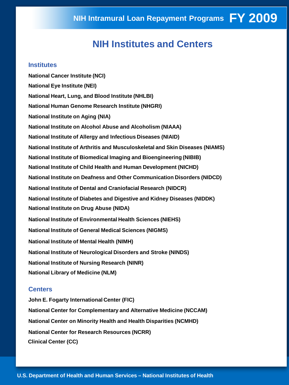#### **NIH Institutes and Centers**

#### **Institutes**

**National Cancer Institute (NCI) National Eye Institute (NEI) National Heart, Lung, and Blood Institute (NHLBI) National Human Genome Research Institute (NHGRI) National Institute on Aging (NIA) National Institute on Alcohol Abuse and Alcoholism (NIAAA) National Institute of Allergy and Infectious Diseases (NIAID) National Institute of Arthritis and Musculoskeletal and Skin Diseases (NIAMS) National Institute of Biomedical Imaging and Bioengineering (NIBIB) National Institute of Child Health and Human Development (NICHD) National Institute on Deafness and Other Communication Disorders (NIDCD) National Institute of Dental and Craniofacial Research (NIDCR) National Institute of Diabetes and Digestive and Kidney Diseases (NIDDK) National Institute on Drug Abuse (NIDA) National Institute of Environmental Health Sciences (NIEHS) National Institute of General Medical Sciences (NIGMS) National Institute of Mental Health (NIMH) National Institute of Neurological Disorders and Stroke (NINDS) National Institute of Nursing Research (NINR) National Library of Medicine (NLM)** 

#### **Centers**

**John E. Fogarty International Center (FIC) National Center for Complementary and Alternative Medicine (NCCAM) National Center on Minority Health and Health Disparities (NCMHD) National Center for Research Resources (NCRR) Clinical Center (CC)**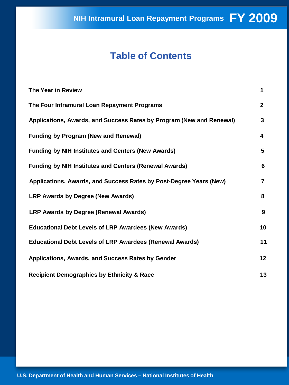### **Table of Contents**

| The Year in Review                                                   | 1              |
|----------------------------------------------------------------------|----------------|
| The Four Intramural Loan Repayment Programs                          | $\mathbf{2}$   |
| Applications, Awards, and Success Rates by Program (New and Renewal) | 3              |
| <b>Funding by Program (New and Renewal)</b>                          | 4              |
| <b>Funding by NIH Institutes and Centers (New Awards)</b>            | 5              |
| <b>Funding by NIH Institutes and Centers (Renewal Awards)</b>        | 6              |
| Applications, Awards, and Success Rates by Post-Degree Years (New)   | $\overline{7}$ |
| <b>LRP Awards by Degree (New Awards)</b>                             | 8              |
| <b>LRP Awards by Degree (Renewal Awards)</b>                         | 9              |
| <b>Educational Debt Levels of LRP Awardees (New Awards)</b>          | 10             |
| <b>Educational Debt Levels of LRP Awardees (Renewal Awards)</b>      | 11             |
| Applications, Awards, and Success Rates by Gender                    | 12             |
| <b>Recipient Demographics by Ethnicity &amp; Race</b>                | 13             |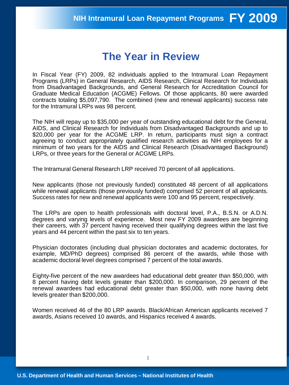### **The Year in Review**

In Fiscal Year (FY) 2009, 82 individuals applied to the Intramural Loan Repayment Programs (LRPs) in General Research, AIDS Research, Clinical Research for Individuals from Disadvantaged Backgrounds, and General Research for Accreditation Council for Graduate Medical Education (ACGME) Fellows. Of those applicants, 80 were awarded contracts totaling \$5,097,790. The combined (new and renewal applicants) success rate for the Intramural LRPs was 98 percent.

The NIH will repay up to \$35,000 per year of outstanding educational debt for the General, AIDS, and Clinical Research for Individuals from Disadvantaged Backgrounds and up to \$20,000 per year for the ACGME LRP. In return, participants must sign a contract agreeing to conduct appropriately qualified research activities as NIH employees for a minimum of two years for the AIDS and Clinical Research (Disadvantaged Background) LRPs, or three years for the General or ACGME LRPs.

The Intramural General Research LRP received 70 percent of all applications.

New applicants (those not previously funded) constituted 48 percent of all applications while renewal applicants (those previously funded) comprised 52 percent of all applicants. Success rates for new and renewal applicants were 100 and 95 percent, respectively.

The LRPs are open to health professionals with doctoral level, P.A., B.S.N. or A.D.N. degrees and varying levels of experience. Most new FY 2009 awardees are beginning their careers, with 37 percent having received their qualifying degrees within the last five years and 44 percent within the past six to ten years.

Physician doctorates (including dual physician doctorates and academic doctorates, for example, MD/PhD degrees) comprised 86 percent of the awards, while those with academic doctoral level degrees comprised 7 percent of the total awards.

Eighty-five percent of the new awardees had educational debt greater than \$50,000, with 8 percent having debt levels greater than \$200,000. In comparison, 29 percent of the renewal awardees had educational debt greater than \$50,000, with none having debt levels greater than \$200,000.

Women received 46 of the 80 LRP awards. Black/African American applicants received 7 awards, Asians received 10 awards, and Hispanics received 4 awards.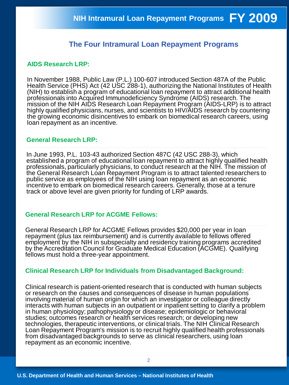#### **The Four Intramural Loan Repayment Programs**

#### **AIDS Research LRP:**

In November 1988, Public Law (P.L.) 100-607 introduced Section 487A of the Public Health Service (PHS) Act (42 USC 288-1), authorizing the National Institutes of Health (NIH) to establish a program of educational loan repayment to attract additional health professionals into Acquired Immunodeficiency Syndrome (AIDS) research. The mission of the NIH AIDS Research Loan Repayment Program (AIDS-LRP) is to attract highly qualified physicians, nurses, and scientists to HIV/AIDS research by countering the growing economic disincentives to embark on biomedical research careers, using loan repayment as an incentive.

#### **General Research LRP:**

In June 1993, P.L. 103-43 authorized Section 487C (42 USC 288-3), which established a program of educational loan repayment to attract highly qualified health professionals, particularly physicians, to conduct research at the NIH. The mission of the General Research Loan Repayment Program is to attract talented researchers to public service as employees of the NIH using loan repayment as an economic incentive to embark on biomedical research careers. Generally, those at a tenure track or above level are given priority for funding of LRP awards.

#### **General Research LRP for ACGME Fellows:**

General Research LRP for ACGME Fellows provides \$20,000 per year in loan repayment (plus tax reimbursement) and is currently available to fellows offered employment by the NIH in subspecialty and residency training programs accredited by the Accreditation Council for Graduate Medical Education (ACGME). Qualifying fellows must hold a three-year appointment.

#### **Clinical Research LRP for Individuals from Disadvantaged Background:**

Clinical research is patient-oriented research that is conducted with human subjects or research on the causes and consequences of disease in human populations involving material of human origin for which an investigator or colleague directly interacts with human subjects in an outpatient or inpatient setting to clarify a problem in human physiology; pathophysiology or disease; epidemiologic or behavioral studies; outcomes research or health services research; or developing new technologies, therapeutic interventions, or clinical trials. The NIH Clinical Research Loan Repayment Program's mission is to recruit highly qualified health professionals from disadvantaged backgrounds to serve as clinical researchers, using loan repayment as an economic incentive.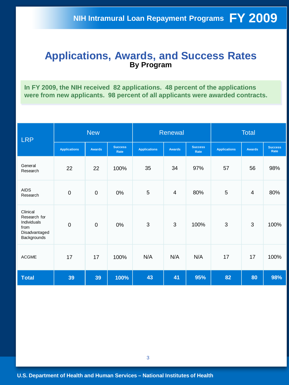#### **Applications, Awards, and Success Rates By Program**

**In FY 2009, the NIH received 82 applications. 48 percent of the applications were from new applicants. 98 percent of all applicants were awarded contracts.** 

| <b>LRP</b>                                                                      | <b>New</b>          |                |                        | Renewal             |               |                        | <b>Total</b>        |                |                        |
|---------------------------------------------------------------------------------|---------------------|----------------|------------------------|---------------------|---------------|------------------------|---------------------|----------------|------------------------|
|                                                                                 | <b>Applications</b> | <b>Awards</b>  | <b>Success</b><br>Rate | <b>Applications</b> | <b>Awards</b> | <b>Success</b><br>Rate | <b>Applications</b> | <b>Awards</b>  | <b>Success</b><br>Rate |
| General<br>Research                                                             | 22                  | 22             | 100%                   | 35                  | 34            | 97%                    | 57                  | 56             | 98%                    |
| <b>AIDS</b><br>Research                                                         | $\mathbf 0$         | $\mathbf 0$    | 0%                     | 5                   | 4             | 80%                    | 5                   | $\overline{4}$ | 80%                    |
| Clinical<br>Research for<br>Individuals<br>from<br>Disadvantaged<br>Backgrounds | $\mathbf 0$         | $\overline{0}$ | 0%                     | 3                   | 3             | 100%                   | 3                   | 3              | 100%                   |
| <b>ACGME</b>                                                                    | 17                  | 17             | 100%                   | N/A                 | N/A           | N/A                    | 17                  | 17             | 100%                   |
| <b>Total</b>                                                                    | 39                  | 39             | 100%                   | 43                  | 41            | 95%                    | 82                  | 80             | 98%                    |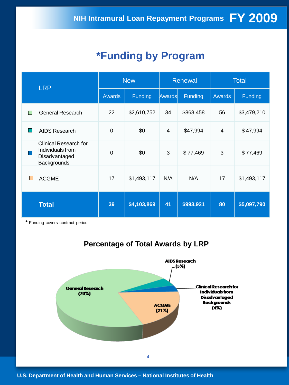### **\*Funding by Program**

| <b>LRP</b>                                                                       | <b>New</b> |             |        | Renewal   | <b>Total</b>  |             |  |
|----------------------------------------------------------------------------------|------------|-------------|--------|-----------|---------------|-------------|--|
|                                                                                  | Awards     | Funding     | Awards | Funding   | <b>Awards</b> | Funding     |  |
| <b>General Research</b>                                                          | 22         | \$2,610,752 | 34     | \$868,458 | 56            | \$3,479,210 |  |
| <b>AIDS Research</b>                                                             | 0          | \$0         | 4      | \$47,994  | 4             | \$47,994    |  |
| <b>Clinical Research for</b><br>Individuals from<br>Disadvantaged<br>Backgrounds | $\Omega$   | \$0         | 3      | \$77,469  | 3             | \$77,469    |  |
| <b>ACGME</b><br>H                                                                | 17         | \$1,493,117 | N/A    | N/A       | 17            | \$1,493,117 |  |
| <b>Total</b>                                                                     | 39         | \$4,103,869 | 41     | \$993,921 | 80            | \$5,097,790 |  |

**\*** Funding covers contract period



### **Percentage of Total Awards by LRP**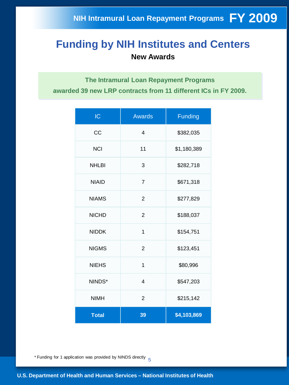### **Funding by NIH Institutes and Centers New Awards**

**The Intramural Loan Repayment Programs awarded 39 new LRP contracts from 11 different ICs in FY 2009.**

| IC           | <b>Awards</b>            | <b>Funding</b> |
|--------------|--------------------------|----------------|
| CC           | 4                        | \$382,035      |
| <b>NCI</b>   | 11                       | \$1,180,389    |
| <b>NHLBI</b> | 3                        | \$282,718      |
| <b>NIAID</b> | $\overline{7}$           | \$671,318      |
| <b>NIAMS</b> | $\overline{2}$           | \$277,829      |
| <b>NICHD</b> | $\overline{2}$           | \$188,037      |
| <b>NIDDK</b> | 1                        | \$154,751      |
| <b>NIGMS</b> | $\overline{2}$           | \$123,451      |
| <b>NIEHS</b> | 1                        | \$80,996       |
| NINDS*       | $\overline{\mathcal{L}}$ | \$547,203      |
| <b>NIMH</b>  | $\overline{2}$           | \$215,142      |
| <b>Total</b> | 39                       | \$4,103,869    |

\* Funding for 1 application was provided by NINDS directly  $\frac{5}{5}$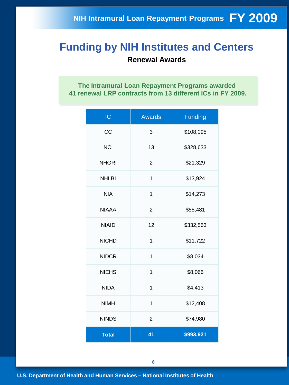#### **Funding by NIH Institutes and Centers Renewal Awards**

**The Intramural Loan Repayment Programs awarded 41 renewal LRP contracts from 13 different ICs in FY 2009.**

| IC           | <b>Awards</b>  | <b>Funding</b> |
|--------------|----------------|----------------|
| CC           | 3              | \$108,095      |
| <b>NCI</b>   | 13             | \$328,633      |
| <b>NHGRI</b> | $\overline{2}$ | \$21,329       |
| <b>NHLBI</b> | 1              | \$13,924       |
| <b>NIA</b>   | 1              | \$14,273       |
| <b>NIAAA</b> | $\overline{2}$ | \$55,481       |
| <b>NIAID</b> | 12             | \$332,563      |
| <b>NICHD</b> | 1              | \$11,722       |
| <b>NIDCR</b> | $\overline{1}$ | \$8,034        |
| <b>NIEHS</b> | 1              | \$8,066        |
| <b>NIDA</b>  | 1              | \$4,413        |
| <b>NIMH</b>  | 1              | \$12,408       |
| <b>NINDS</b> | $\overline{c}$ | \$74,980       |
| <b>Total</b> | 41             | \$993,921      |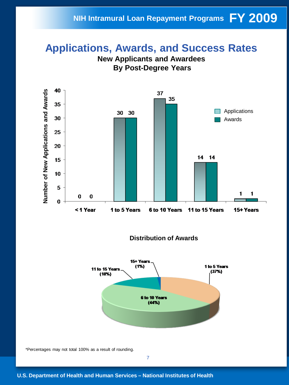### **FY 2009 NIH Intramural Loan Repayment Programs**

### **Applications, Awards, and Success Rates**





**Distribution of Awards**



\*Percentages may not total 100% as a result of rounding.

7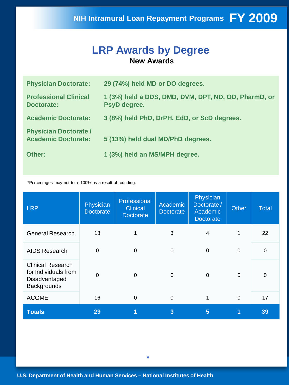#### **LRP Awards by Degree New Awards**

| <b>Physician Doctorate:</b>                                | 29 (74%) held MD or DO degrees.                                      |
|------------------------------------------------------------|----------------------------------------------------------------------|
| <b>Professional Clinical</b><br><b>Doctorate:</b>          | 1 (3%) held a DDS, DMD, DVM, DPT, ND, OD, PharmD, or<br>PsyD degree. |
| <b>Academic Doctorate:</b>                                 | 3 (8%) held PhD, DrPH, EdD, or ScD degrees.                          |
| <b>Physician Doctorate /</b><br><b>Academic Doctorate:</b> | 5 (13%) held dual MD/PhD degrees.                                    |
| Other:                                                     | 1 (3%) held an MS/MPH degree.                                        |

\*Percentages may not total 100% as a result of rounding.

| <b>LRP</b>                                                                       | Physician<br><b>Doctorate</b> | Professional<br><b>Clinical</b><br><b>Doctorate</b> | Academic<br><b>Doctorate</b> | Physician<br>Doctorate/<br>Academic<br><b>Doctorate</b> | <b>Other</b> | <b>Total</b> |
|----------------------------------------------------------------------------------|-------------------------------|-----------------------------------------------------|------------------------------|---------------------------------------------------------|--------------|--------------|
| <b>General Research</b>                                                          | 13                            | 1                                                   | 3                            | 4                                                       | 1            | 22           |
| <b>AIDS Research</b>                                                             | $\mathbf 0$                   | $\Omega$                                            | $\Omega$                     | $\Omega$                                                | $\mathbf 0$  | $\mathbf 0$  |
| <b>Clinical Research</b><br>for Individuals from<br>Disadvantaged<br>Backgrounds | $\overline{0}$                | 0                                                   | 0                            | 0                                                       | $\Omega$     | 0            |
| <b>ACGME</b>                                                                     | 16                            | 0                                                   | $\Omega$                     |                                                         | $\Omega$     | 17           |
| <b>Totals</b>                                                                    | 29                            | 1                                                   | 3                            | 5                                                       |              | 39           |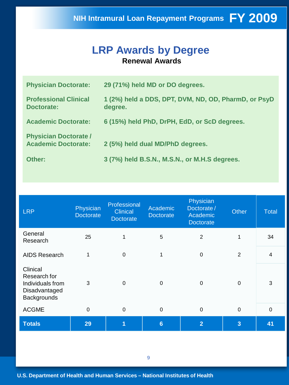#### **LRP Awards by Degree Renewal Awards**

| <b>Physician Doctorate:</b>                                | 29 (71%) held MD or DO degrees.                                 |
|------------------------------------------------------------|-----------------------------------------------------------------|
| <b>Professional Clinical</b><br>Doctorate:                 | 1 (2%) held a DDS, DPT, DVM, ND, OD, PharmD, or PsyD<br>degree. |
| <b>Academic Doctorate:</b>                                 | 6 (15%) held PhD, DrPH, EdD, or ScD degrees.                    |
| <b>Physician Doctorate /</b><br><b>Academic Doctorate:</b> | 2 (5%) held dual MD/PhD degrees.                                |
| Other:                                                     | 3 (7%) held B.S.N., M.S.N., or M.H.S degrees.                   |

| <b>LRP</b>                                                                   | Physician<br><b>Doctorate</b> | Professional<br><b>Clinical</b><br><b>Doctorate</b> | Academic<br><b>Doctorate</b> | Physician<br>Doctorate/<br>Academic<br><b>Doctorate</b> | <b>Other</b>   | <b>Total</b>            |
|------------------------------------------------------------------------------|-------------------------------|-----------------------------------------------------|------------------------------|---------------------------------------------------------|----------------|-------------------------|
| General<br>Research                                                          | 25                            |                                                     | 5                            | $\overline{2}$                                          | 1              | 34                      |
| <b>AIDS Research</b>                                                         | 1                             | $\mathbf 0$                                         | 1                            | $\mathbf 0$                                             | $\overline{2}$ | $\overline{\mathbf{4}}$ |
| Clinical<br>Research for<br>Individuals from<br>Disadvantaged<br>Backgrounds | 3                             | $\mathbf 0$                                         | $\mathbf 0$                  | $\mathbf 0$                                             | $\mathbf 0$    | 3                       |
| <b>ACGME</b>                                                                 | $\mathbf 0$                   | $\mathbf 0$                                         | $\mathbf 0$                  | $\mathbf 0$                                             | $\mathbf 0$    | $\mathbf 0$             |
| <b>Totals</b>                                                                | 29                            | 1                                                   | $6\phantom{1}$               | $\overline{2}$                                          | $\overline{3}$ | 41                      |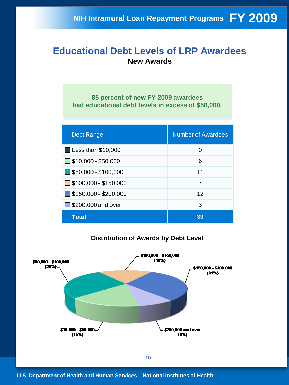#### **Educational Debt Levels of LRP Awardees New Awards**

**85 percent of new FY 2009 awardees had educational debt levels in excess of \$50,000.**

| <b>Debt Range</b>                    | <b>Number of Awardees</b> |
|--------------------------------------|---------------------------|
| <b>Less than \$10,000</b>            | 0                         |
| $\Box$ \$10,000 - \$50,000           | 6                         |
| $\blacksquare$ \$50,000 - \$100,000  | 11                        |
| $\Box$ \$100,000 - \$150,000         | 7                         |
| $\blacksquare$ \$150,000 - \$200,000 | 12                        |
| $\Box$ \$200,000 and over            | 3                         |
| <b>Total</b>                         | 39                        |

#### **Distribution of Awards by Debt Level**

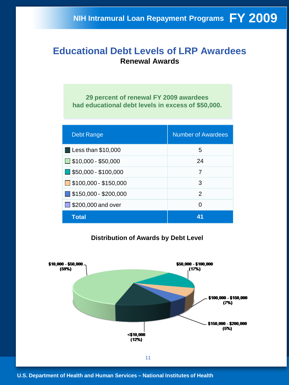#### **Educational Debt Levels of LRP Awardees Renewal Awards**

**29 percent of renewal FY 2009 awardees had educational debt levels in excess of \$50,000.**

| <b>Debt Range</b>                    | <b>Number of Awardees</b> |
|--------------------------------------|---------------------------|
| $\blacksquare$ Less than \$10,000    | 5                         |
| $\Box$ \$10,000 - \$50,000           | 24                        |
| $\blacksquare$ \$50,000 - \$100,000  | 7                         |
| $\Box$ \$100,000 - \$150,000         | 3                         |
| $\blacksquare$ \$150,000 - \$200,000 | $\mathcal{P}$             |
| $\Box$ \$200,000 and over            | 0                         |
| Total                                | 41                        |

#### **Distribution of Awards by Debt Level**

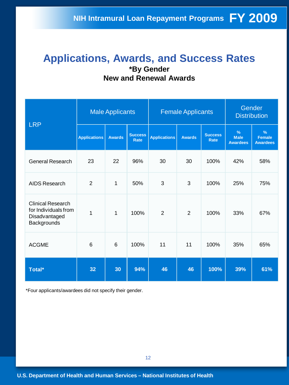#### **Applications, Awards, and Success Rates \*By Gender New and Renewal Awards**

| <b>LRP</b>                                                                       | <b>Male Applicants</b> |               |                               |                     | <b>Female Applicants</b> | Gender<br><b>Distribution</b> |                                                 |                                          |
|----------------------------------------------------------------------------------|------------------------|---------------|-------------------------------|---------------------|--------------------------|-------------------------------|-------------------------------------------------|------------------------------------------|
|                                                                                  | <b>Applications</b>    | <b>Awards</b> | <b>Success</b><br><b>Rate</b> | <b>Applications</b> | <b>Awards</b>            | <b>Success</b><br><b>Rate</b> | $\frac{9}{6}$<br><b>Male</b><br><b>Awardees</b> | $\%$<br><b>Female</b><br><b>Awardees</b> |
| <b>General Research</b>                                                          | 23                     | 22            | 96%                           | 30                  | 30                       | 100%                          | 42%                                             | 58%                                      |
| AIDS Research                                                                    | $\overline{2}$         | 1             | 50%                           | 3                   | 3                        | 100%                          | 25%                                             | 75%                                      |
| <b>Clinical Research</b><br>for Individuals from<br>Disadvantaged<br>Backgrounds | $\overline{1}$         | 1             | 100%                          | $\overline{2}$      | $\overline{2}$           | 100%                          | 33%                                             | 67%                                      |
| <b>ACGME</b>                                                                     | 6                      | 6             | 100%                          | 11                  | 11                       | 100%                          | 35%                                             | 65%                                      |
| Total*                                                                           | 32                     | 30            | 94%                           | 46                  | 46                       | 100%                          | 39%                                             | 61%                                      |

\*Four applicants/awardees did not specify their gender.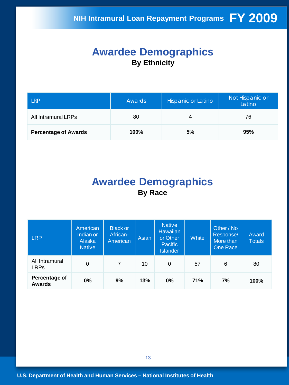#### **Awardee Demographics By Ethnicity**

| l RP                        | Awards | Hispanic or Latino | Not Hispanic or<br>Latino |  |
|-----------------------------|--------|--------------------|---------------------------|--|
| All Intramural LRPs         | 80     | 4                  | 76                        |  |
| <b>Percentage of Awards</b> | 100%   | 5%                 | 95%                       |  |

#### **Awardee Demographics By Race**

| <b>LRP</b>                     | American<br>Indian or<br>Alaska<br><b>Native</b> | <b>Black or</b><br>African-<br>American | Asian | <b>Native</b><br><b>Hawaiian</b><br>or Other<br><b>Pacific</b><br><b>Islander</b> | <b>White</b> | Other / No<br>Response/<br>More than<br>One Race | Award<br><b>Totals</b> |
|--------------------------------|--------------------------------------------------|-----------------------------------------|-------|-----------------------------------------------------------------------------------|--------------|--------------------------------------------------|------------------------|
| All Intramural<br><b>LRPs</b>  | 0                                                | $\overline{7}$                          | 10    | 0                                                                                 | 57           | 6                                                | 80                     |
| Percentage of<br><b>Awards</b> | 0%                                               | 9%                                      | 13%   | $0\%$                                                                             | <b>71%</b>   | 7%                                               | 100%                   |